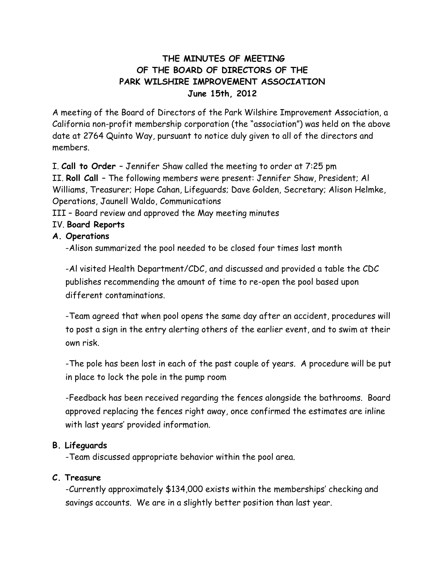# **THE MINUTES OF MEETING OF THE BOARD OF DIRECTORS OF THE PARK WILSHIRE IMPROVEMENT ASSOCIATION June 15th, 2012**

A meeting of the Board of Directors of the Park Wilshire Improvement Association, a California non-profit membership corporation (the "association") was held on the above date at 2764 Quinto Way, pursuant to notice duly given to all of the directors and members.

I. **Call to Order** – Jennifer Shaw called the meeting to order at 7:25 pm

II. **Roll Call** – The following members were present: Jennifer Shaw, President; Al Williams, Treasurer; Hope Cahan, Lifeguards; Dave Golden, Secretary; Alison Helmke, Operations, Jaunell Waldo, Communications

III – Board review and approved the May meeting minutes

# IV. **Board Reports**

## **A. Operations**

-Alison summarized the pool needed to be closed four times last month

-Al visited Health Department/CDC, and discussed and provided a table the CDC publishes recommending the amount of time to re-open the pool based upon different contaminations.

-Team agreed that when pool opens the same day after an accident, procedures will to post a sign in the entry alerting others of the earlier event, and to swim at their own risk.

-The pole has been lost in each of the past couple of years. A procedure will be put in place to lock the pole in the pump room

-Feedback has been received regarding the fences alongside the bathrooms. Board approved replacing the fences right away, once confirmed the estimates are inline with last years' provided information.

### **B. Lifeguards**

-Team discussed appropriate behavior within the pool area.

### **C. Treasure**

-Currently approximately \$134,000 exists within the memberships' checking and savings accounts. We are in a slightly better position than last year.